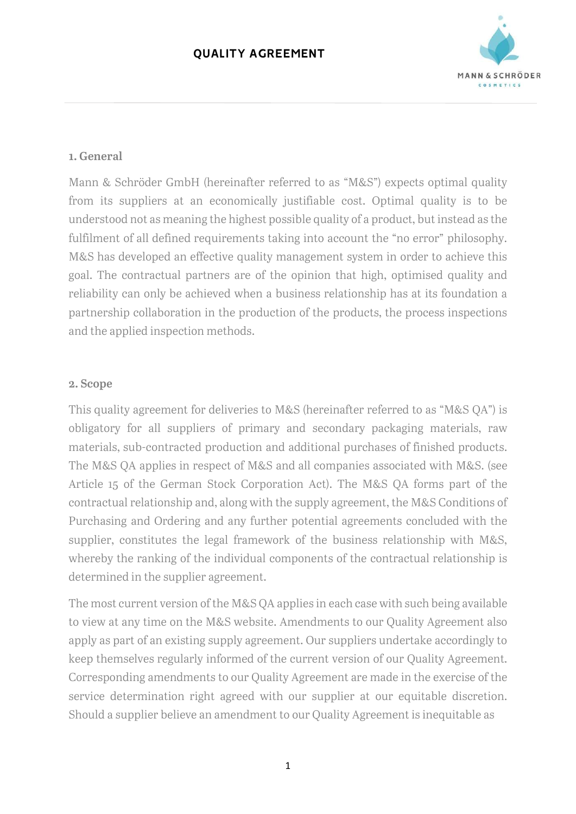

#### 1. General

Mann & Schröder GmbH (hereinafter referred to as "M&S") expects optimal quality from its suppliers at an economically justifiable cost. Optimal quality is to be understood not as meaning the highest possible quality of a product, but instead as the fulfilment of all defined requirements taking into account the "no error" philosophy. M&S has developed an effective quality management system in order to achieve this goal. The contractual partners are of the opinion that high, optimised quality and reliability can only be achieved when a business relationship has at its foundation a partnership collaboration in the production of the products, the process inspections and the applied inspection methods.

#### 2. Scope

This quality agreement for deliveries to M&S (hereinafter referred to as "M&S QA") is obligatory for all suppliers of primary and secondary packaging materials, raw materials, sub-contracted production and additional purchases of finished products. The M&S QA applies in respect of M&S and all companies associated with M&S. (see Article 15 of the German Stock Corporation Act). The M&S QA forms part of the contractual relationship and, along with the supply agreement, the M&S Conditions of Purchasing and Ordering and any further potential agreements concluded with the supplier, constitutes the legal framework of the business relationship with M&S, whereby the ranking of the individual components of the contractual relationship is determined in the supplier agreement.

The most current version of the M&S QA applies in each case with such being available to view at any time on the M&S website. Amendments to our Quality Agreement also apply as part of an existing supply agreement. Our suppliers undertake accordingly to keep themselves regularly informed of the current version of our Quality Agreement. Corresponding amendments to our Quality Agreement are made in the exercise of the service determination right agreed with our supplier at our equitable discretion. Should a supplier believe an amendment to our Quality Agreement is inequitable as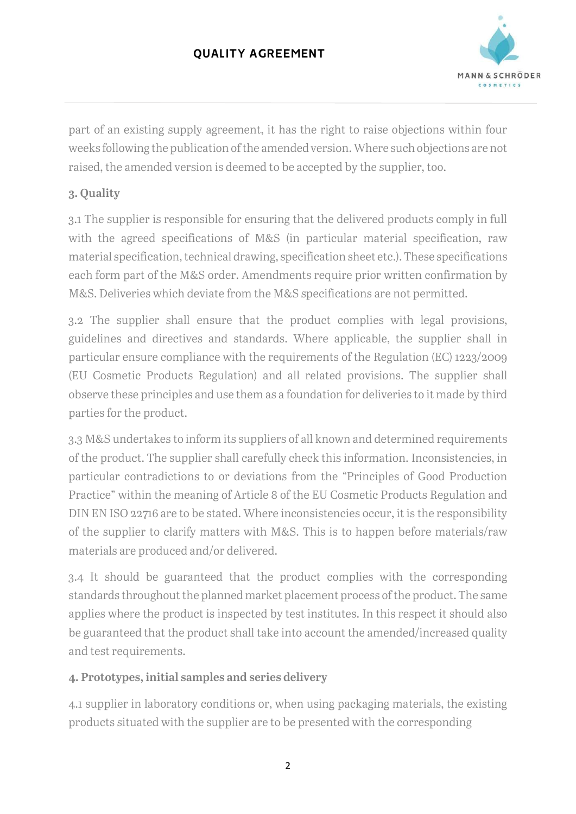

part of an existing supply agreement, it has the right to raise objections within four weeks following the publication of the amended version. Where such objections are not raised, the amended version is deemed to be accepted by the supplier, too.

# 3. Quality

3.1 The supplier is responsible for ensuring that the delivered products comply in full with the agreed specifications of M&S (in particular material specification, raw material specification, technical drawing, specification sheet etc.). These specifications each form part of the M&S order. Amendments require prior written confirmation by M&S. Deliveries which deviate from the M&S specifications are not permitted.

3.2 The supplier shall ensure that the product complies with legal provisions, guidelines and directives and standards. Where applicable, the supplier shall in particular ensure compliance with the requirements of the Regulation (EC) 1223/2009 (EU Cosmetic Products Regulation) and all related provisions. The supplier shall observe these principles and use them as a foundation for deliveries to it made by third parties for the product.

3.3 M&S undertakes to inform its suppliers of all known and determined requirements of the product. The supplier shall carefully check this information. Inconsistencies, in particular contradictions to or deviations from the "Principles of Good Production Practice" within the meaning of Article 8 of the EU Cosmetic Products Regulation and DIN EN ISO 22716 are to be stated. Where inconsistencies occur, it is the responsibility of the supplier to clarify matters with M&S. This is to happen before materials/raw materials are produced and/or delivered.

3.4 It should be guaranteed that the product complies with the corresponding standards throughout the planned market placement process of the product. The same applies where the product is inspected by test institutes. In this respect it should also be guaranteed that the product shall take into account the amended/increased quality and test requirements.

# 4. Prototypes, initial samples and series delivery

4.1 supplier in laboratory conditions or, when using packaging materials, the existing products situated with the supplier are to be presented with the corresponding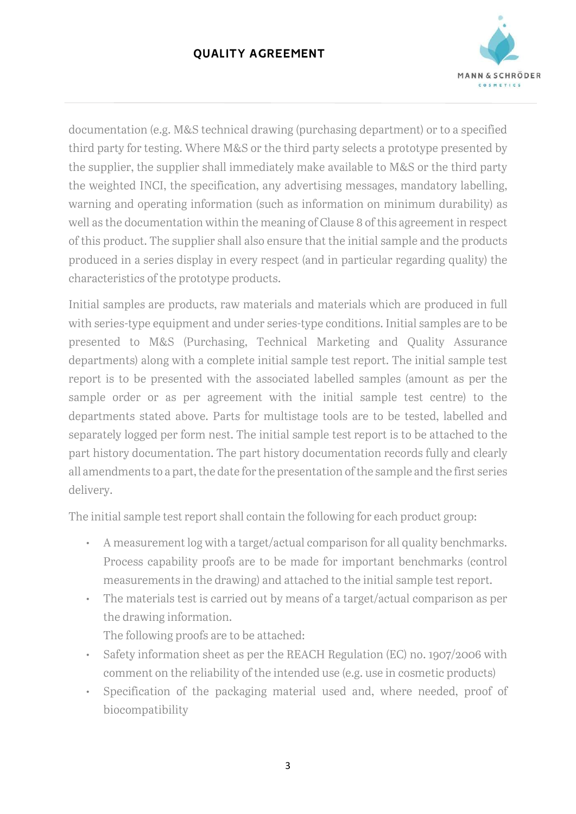

documentation (e.g. M&S technical drawing (purchasing department) or to a specified third party for testing. Where M&S or the third party selects a prototype presented by the supplier, the supplier shall immediately make available to M&S or the third party the weighted INCI, the specification, any advertising messages, mandatory labelling, warning and operating information (such as information on minimum durability) as well as the documentation within the meaning of Clause 8 of this agreement in respect of this product. The supplier shall also ensure that the initial sample and the products produced in a series display in every respect (and in particular regarding quality) the characteristics of the prototype products.

Initial samples are products, raw materials and materials which are produced in full with series-type equipment and under series-type conditions. Initial samples are to be presented to M&S (Purchasing, Technical Marketing and Quality Assurance departments) along with a complete initial sample test report. The initial sample test report is to be presented with the associated labelled samples (amount as per the sample order or as per agreement with the initial sample test centre) to the departments stated above. Parts for multistage tools are to be tested, labelled and separately logged per form nest. The initial sample test report is to be attached to the part history documentation. The part history documentation records fully and clearly all amendments to a part, the date for the presentation of the sample and the first series delivery.

The initial sample test report shall contain the following for each product group:

- A measurement log with a target/actual comparison for all quality benchmarks. Process capability proofs are to be made for important benchmarks (control measurements in the drawing) and attached to the initial sample test report.
- The materials test is carried out by means of a target/actual comparison as per the drawing information.

The following proofs are to be attached:

- Safety information sheet as per the REACH Regulation (EC) no. 1907/2006 with comment on the reliability of the intended use (e.g. use in cosmetic products)
- Specification of the packaging material used and, where needed, proof of biocompatibility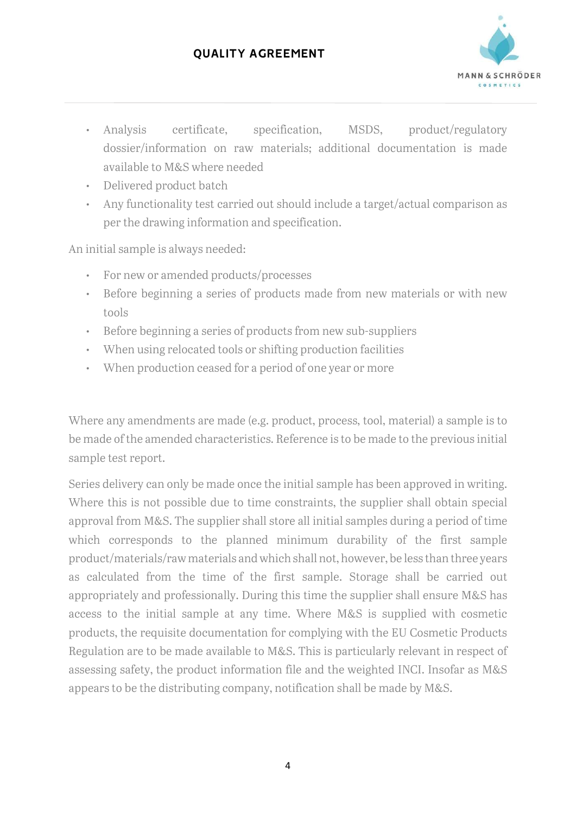

- Analysis certificate, specification, MSDS, product/regulatory dossier/information on raw materials; additional documentation is made available to M&S where needed
- Delivered product batch
- Any functionality test carried out should include a target/actual comparison as per the drawing information and specification.

An initial sample is always needed:

- For new or amended products/processes
- Before beginning a series of products made from new materials or with new tools
- Before beginning a series of products from new sub-suppliers
- When using relocated tools or shifting production facilities
- When production ceased for a period of one year or more

Where any amendments are made (e.g. product, process, tool, material) a sample is to be made of the amended characteristics. Reference is to be made to the previous initial sample test report.

Series delivery can only be made once the initial sample has been approved in writing. Where this is not possible due to time constraints, the supplier shall obtain special approval from M&S. The supplier shall store all initial samples during a period of time which corresponds to the planned minimum durability of the first sample product/materials/raw materials and which shall not, however, be less than three years as calculated from the time of the first sample. Storage shall be carried out appropriately and professionally. During this time the supplier shall ensure M&S has access to the initial sample at any time. Where M&S is supplied with cosmetic products, the requisite documentation for complying with the EU Cosmetic Products Regulation are to be made available to M&S. This is particularly relevant in respect of assessing safety, the product information file and the weighted INCI. Insofar as M&S appears to be the distributing company, notification shall be made by M&S.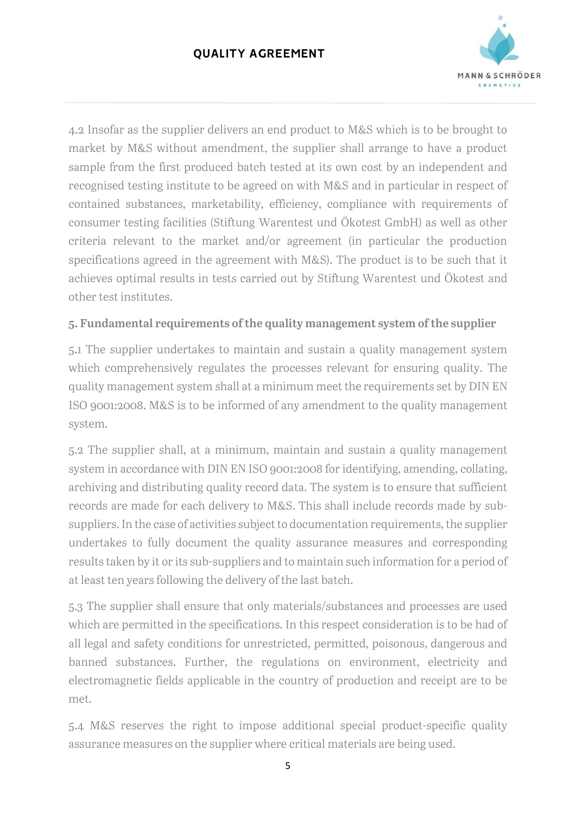

4.2 Insofar as the supplier delivers an end product to M&S which is to be brought to market by M&S without amendment, the supplier shall arrange to have a product sample from the first produced batch tested at its own cost by an independent and recognised testing institute to be agreed on with M&S and in particular in respect of contained substances, marketability, efficiency, compliance with requirements of consumer testing facilities (Stiftung Warentest und Ökotest GmbH) as well as other criteria relevant to the market and/or agreement (in particular the production specifications agreed in the agreement with M&S). The product is to be such that it achieves optimal results in tests carried out by Stiftung Warentest und Ökotest and other test institutes.

### 5. Fundamental requirements of the quality management system of the supplier

5.1 The supplier undertakes to maintain and sustain a quality management system which comprehensively regulates the processes relevant for ensuring quality. The quality management system shall at a minimum meet the requirements set by DIN EN ISO 9001:2008. M&S is to be informed of any amendment to the quality management system.

5.2 The supplier shall, at a minimum, maintain and sustain a quality management system in accordance with DIN EN ISO 9001:2008 for identifying, amending, collating, archiving and distributing quality record data. The system is to ensure that sufficient records are made for each delivery to M&S. This shall include records made by subsuppliers. In the case of activities subject to documentation requirements, the supplier undertakes to fully document the quality assurance measures and corresponding results taken by it or its sub-suppliers and to maintain such information for a period of at least ten years following the delivery of the last batch.

5.3 The supplier shall ensure that only materials/substances and processes are used which are permitted in the specifications. In this respect consideration is to be had of all legal and safety conditions for unrestricted, permitted, poisonous, dangerous and banned substances. Further, the regulations on environment, electricity and electromagnetic fields applicable in the country of production and receipt are to be met.

5.4 M&S reserves the right to impose additional special product-specific quality assurance measures on the supplier where critical materials are being used.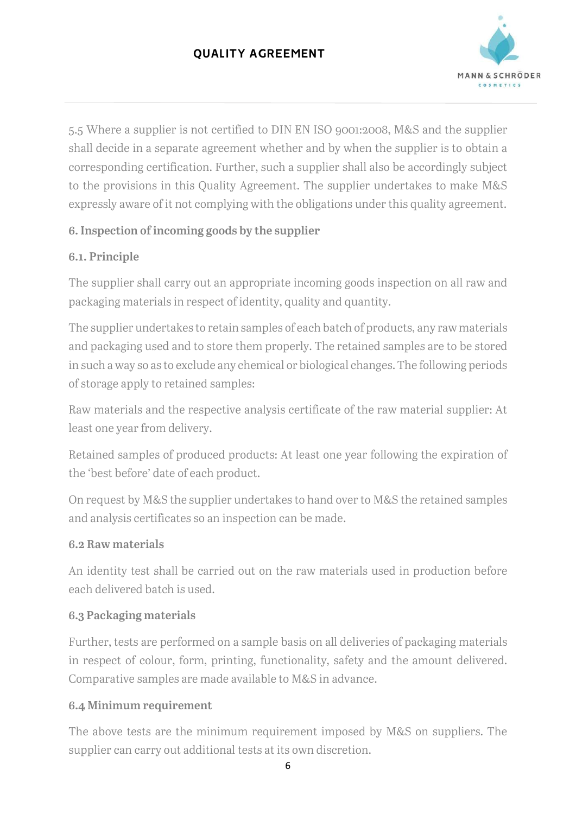

5.5 Where a supplier is not certified to DIN EN ISO 9001:2008, M&S and the supplier shall decide in a separate agreement whether and by when the supplier is to obtain a corresponding certification. Further, such a supplier shall also be accordingly subject to the provisions in this Quality Agreement. The supplier undertakes to make M&S expressly aware of it not complying with the obligations under this quality agreement.

# 6. Inspection of incoming goods by the supplier

# 6.1. Principle

The supplier shall carry out an appropriate incoming goods inspection on all raw and packaging materials in respect of identity, quality and quantity.

The supplier undertakes to retain samples of each batch of products, any raw materials and packaging used and to store them properly. The retained samples are to be stored in such a way so as to exclude any chemical or biological changes. The following periods of storage apply to retained samples:

Raw materials and the respective analysis certificate of the raw material supplier: At least one year from delivery.

Retained samples of produced products: At least one year following the expiration of the 'best before' date of each product.

On request by M&S the supplier undertakes to hand over to M&S the retained samples and analysis certificates so an inspection can be made.

## 6.2 Raw materials

An identity test shall be carried out on the raw materials used in production before each delivered batch is used.

## 6.3 Packaging materials

Further, tests are performed on a sample basis on all deliveries of packaging materials in respect of colour, form, printing, functionality, safety and the amount delivered. Comparative samples are made available to M&S in advance.

# 6.4 Minimum requirement

The above tests are the minimum requirement imposed by M&S on suppliers. The supplier can carry out additional tests at its own discretion.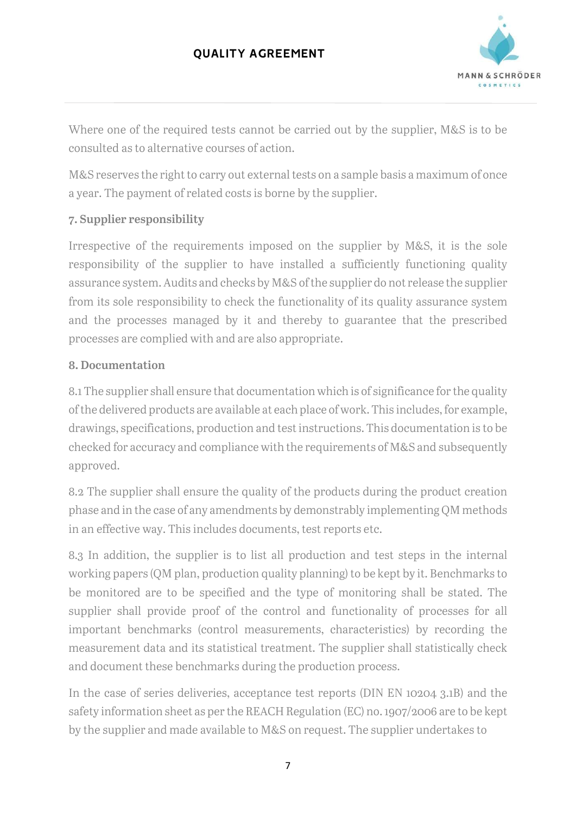

Where one of the required tests cannot be carried out by the supplier, M&S is to be consulted as to alternative courses of action.

M&S reserves the right to carry out external tests on a sample basis a maximum of once a year. The payment of related costs is borne by the supplier.

## 7. Supplier responsibility

Irrespective of the requirements imposed on the supplier by M&S, it is the sole responsibility of the supplier to have installed a sufficiently functioning quality assurance system. Audits and checks by M&S of the supplier do not release the supplier from its sole responsibility to check the functionality of its quality assurance system and the processes managed by it and thereby to guarantee that the prescribed processes are complied with and are also appropriate.

### 8. Documentation

8.1 The supplier shall ensure that documentation which is of significance for the quality of the delivered products are available at each place of work. This includes, for example, drawings, specifications, production and test instructions. This documentation is to be checked for accuracy and compliance with the requirements of M&S and subsequently approved.

8.2 The supplier shall ensure the quality of the products during the product creation phase and in the case of any amendments by demonstrably implementing QM methods in an effective way. This includes documents, test reports etc.

8.3 In addition, the supplier is to list all production and test steps in the internal working papers (QM plan, production quality planning) to be kept by it. Benchmarks to be monitored are to be specified and the type of monitoring shall be stated. The supplier shall provide proof of the control and functionality of processes for all important benchmarks (control measurements, characteristics) by recording the measurement data and its statistical treatment. The supplier shall statistically check and document these benchmarks during the production process.

In the case of series deliveries, acceptance test reports (DIN EN 10204 3.1B) and the safety information sheet as per the REACH Regulation (EC) no. 1907/2006 are to be kept by the supplier and made available to M&S on request. The supplier undertakes to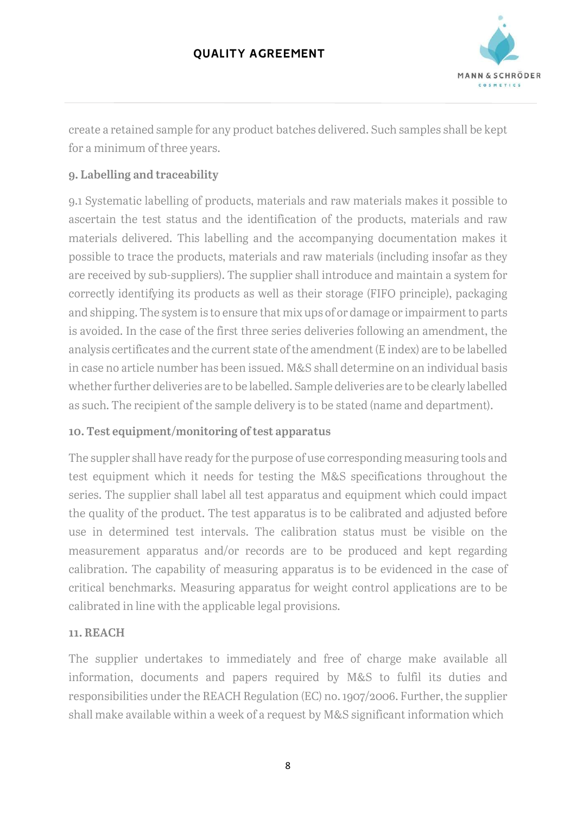

create a retained sample for any product batches delivered. Such samples shall be kept for a minimum of three years.

# 9. Labelling and traceability

9.1 Systematic labelling of products, materials and raw materials makes it possible to ascertain the test status and the identification of the products, materials and raw materials delivered. This labelling and the accompanying documentation makes it possible to trace the products, materials and raw materials (including insofar as they are received by sub-suppliers). The supplier shall introduce and maintain a system for correctly identifying its products as well as their storage (FIFO principle), packaging and shipping. The system is to ensure that mix ups of or damage or impairment to parts is avoided. In the case of the first three series deliveries following an amendment, the analysis certificates and the current state of the amendment (E index) are to be labelled in case no article number has been issued. M&S shall determine on an individual basis whether further deliveries are to be labelled. Sample deliveries are to be clearly labelled as such. The recipient of the sample delivery is to be stated (name and department).

## 10. Test equipment/monitoring of test apparatus

The suppler shall have ready for the purpose of use corresponding measuring tools and test equipment which it needs for testing the M&S specifications throughout the series. The supplier shall label all test apparatus and equipment which could impact the quality of the product. The test apparatus is to be calibrated and adjusted before use in determined test intervals. The calibration status must be visible on the measurement apparatus and/or records are to be produced and kept regarding calibration. The capability of measuring apparatus is to be evidenced in the case of critical benchmarks. Measuring apparatus for weight control applications are to be calibrated in line with the applicable legal provisions.

#### 11. REACH

The supplier undertakes to immediately and free of charge make available all information, documents and papers required by M&S to fulfil its duties and responsibilities under the REACH Regulation (EC) no. 1907/2006. Further, the supplier shall make available within a week of a request by M&S significant information which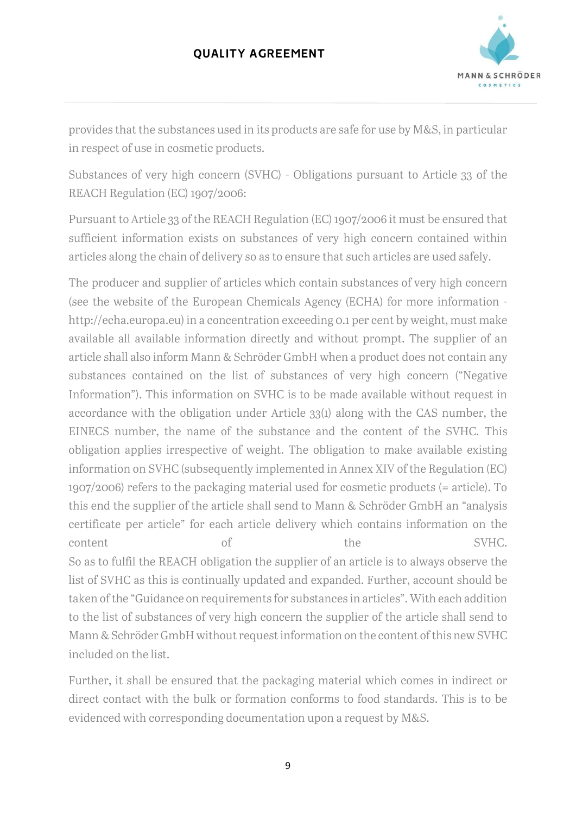

provides that the substances used in its products are safe for use by M&S, in particular in respect of use in cosmetic products.

Substances of very high concern (SVHC) - Obligations pursuant to Article 33 of the REACH Regulation (EC) 1907/2006:

Pursuant to Article 33 of the REACH Regulation (EC) 1907/2006 it must be ensured that sufficient information exists on substances of very high concern contained within articles along the chain of delivery so as to ensure that such articles are used safely.

The producer and supplier of articles which contain substances of very high concern (see the website of the European Chemicals Agency (ECHA) for more information http://echa.europa.eu) in a concentration exceeding 0.1 per cent by weight, must make available all available information directly and without prompt. The supplier of an article shall also inform Mann & Schröder GmbH when a product does not contain any substances contained on the list of substances of very high concern ("Negative Information"). This information on SVHC is to be made available without request in accordance with the obligation under Article 33(1) along with the CAS number, the EINECS number, the name of the substance and the content of the SVHC. This obligation applies irrespective of weight. The obligation to make available existing information on SVHC (subsequently implemented in Annex XIV of the Regulation (EC) 1907/2006) refers to the packaging material used for cosmetic products (= article). To this end the supplier of the article shall send to Mann & Schröder GmbH an "analysis certificate per article" for each article delivery which contains information on the content of of the SVHC. So as to fulfil the REACH obligation the supplier of an article is to always observe the list of SVHC as this is continually updated and expanded. Further, account should be taken of the "Guidance on requirements for substances in articles". With each addition to the list of substances of very high concern the supplier of the article shall send to Mann & Schröder GmbH without request information on the content of this new SVHC included on the list.

Further, it shall be ensured that the packaging material which comes in indirect or direct contact with the bulk or formation conforms to food standards. This is to be evidenced with corresponding documentation upon a request by M&S.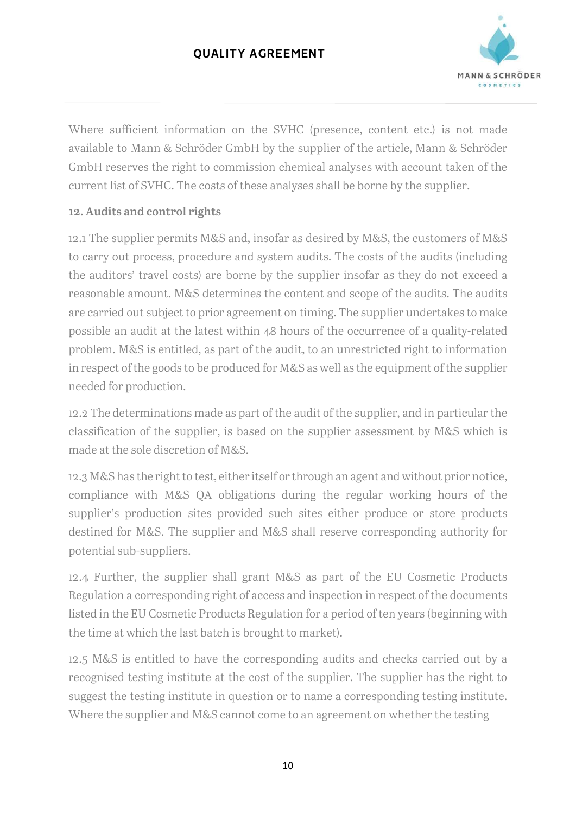

Where sufficient information on the SVHC (presence, content etc.) is not made available to Mann & Schröder GmbH by the supplier of the article, Mann & Schröder GmbH reserves the right to commission chemical analyses with account taken of the current list of SVHC. The costs of these analyses shall be borne by the supplier.

### 12. Audits and control rights

12.1 The supplier permits M&S and, insofar as desired by M&S, the customers of M&S to carry out process, procedure and system audits. The costs of the audits (including the auditors' travel costs) are borne by the supplier insofar as they do not exceed a reasonable amount. M&S determines the content and scope of the audits. The audits are carried out subject to prior agreement on timing. The supplier undertakes to make possible an audit at the latest within 48 hours of the occurrence of a quality-related problem. M&S is entitled, as part of the audit, to an unrestricted right to information in respect of the goods to be produced for M&S as well as the equipment of the supplier needed for production.

12.2 The determinations made as part of the audit of the supplier, and in particular the classification of the supplier, is based on the supplier assessment by M&S which is made at the sole discretion of M&S.

12.3 M&S has the right to test, either itself or through an agent and without prior notice, compliance with M&S QA obligations during the regular working hours of the supplier's production sites provided such sites either produce or store products destined for M&S. The supplier and M&S shall reserve corresponding authority for potential sub-suppliers.

12.4 Further, the supplier shall grant M&S as part of the EU Cosmetic Products Regulation a corresponding right of access and inspection in respect of the documents listed in the EU Cosmetic Products Regulation for a period of ten years (beginning with the time at which the last batch is brought to market).

12.5 M&S is entitled to have the corresponding audits and checks carried out by a recognised testing institute at the cost of the supplier. The supplier has the right to suggest the testing institute in question or to name a corresponding testing institute. Where the supplier and M&S cannot come to an agreement on whether the testing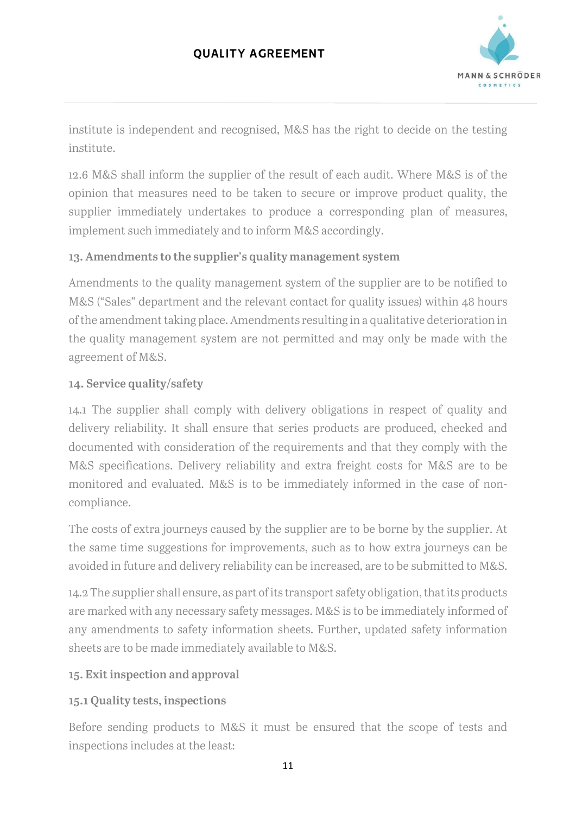

institute is independent and recognised, M&S has the right to decide on the testing institute.

12.6 M&S shall inform the supplier of the result of each audit. Where M&S is of the opinion that measures need to be taken to secure or improve product quality, the supplier immediately undertakes to produce a corresponding plan of measures, implement such immediately and to inform M&S accordingly.

## 13. Amendments to the supplier's quality management system

Amendments to the quality management system of the supplier are to be notified to M&S ("Sales" department and the relevant contact for quality issues) within 48 hours of the amendment taking place. Amendments resulting in a qualitative deterioration in the quality management system are not permitted and may only be made with the agreement of M&S.

## 14. Service quality/safety

14.1 The supplier shall comply with delivery obligations in respect of quality and delivery reliability. It shall ensure that series products are produced, checked and documented with consideration of the requirements and that they comply with the M&S specifications. Delivery reliability and extra freight costs for M&S are to be monitored and evaluated. M&S is to be immediately informed in the case of noncompliance.

The costs of extra journeys caused by the supplier are to be borne by the supplier. At the same time suggestions for improvements, such as to how extra journeys can be avoided in future and delivery reliability can be increased, are to be submitted to M&S.

14.2 The supplier shall ensure, as part of its transport safety obligation, that its products are marked with any necessary safety messages. M&S is to be immediately informed of any amendments to safety information sheets. Further, updated safety information sheets are to be made immediately available to M&S.

# 15. Exit inspection and approval

# 15.1 Quality tests, inspections

Before sending products to M&S it must be ensured that the scope of tests and inspections includes at the least: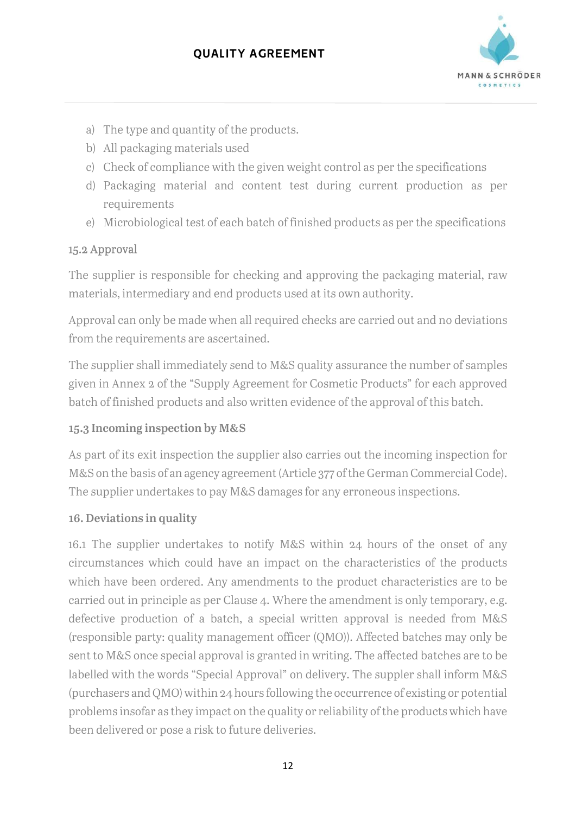

- a) The type and quantity of the products.
- b) All packaging materials used
- c) Check of compliance with the given weight control as per the specifications
- d) Packaging material and content test during current production as per requirements
- e) Microbiological test of each batch of finished products as per the specifications

### 15.2 Approval

The supplier is responsible for checking and approving the packaging material, raw materials, intermediary and end products used at its own authority.

Approval can only be made when all required checks are carried out and no deviations from the requirements are ascertained.

The supplier shall immediately send to M&S quality assurance the number of samples given in Annex 2 of the "Supply Agreement for Cosmetic Products" for each approved batch of finished products and also written evidence of the approval of this batch.

## 15.3 Incoming inspection by M&S

As part of its exit inspection the supplier also carries out the incoming inspection for M&S on the basis of an agency agreement (Article 377 of the German Commercial Code). The supplier undertakes to pay M&S damages for any erroneous inspections.

#### 16. Deviations in quality

16.1 The supplier undertakes to notify M&S within 24 hours of the onset of any circumstances which could have an impact on the characteristics of the products which have been ordered. Any amendments to the product characteristics are to be carried out in principle as per Clause 4. Where the amendment is only temporary, e.g. defective production of a batch, a special written approval is needed from M&S (responsible party: quality management officer (QMO)). Affected batches may only be sent to M&S once special approval is granted in writing. The affected batches are to be labelled with the words "Special Approval" on delivery. The suppler shall inform M&S (purchasers and QMO) within 24 hours following the occurrence of existing or potential problems insofar as they impact on the quality or reliability of the products which have been delivered or pose a risk to future deliveries.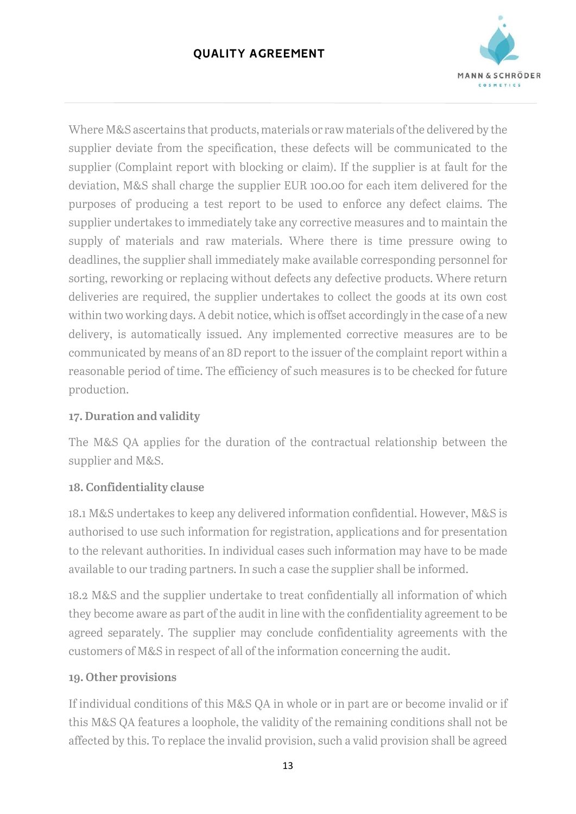

Where M&S ascertains that products, materials or raw materials of the delivered by the supplier deviate from the specification, these defects will be communicated to the supplier (Complaint report with blocking or claim). If the supplier is at fault for the deviation, M&S shall charge the supplier EUR 100.00 for each item delivered for the purposes of producing a test report to be used to enforce any defect claims. The supplier undertakes to immediately take any corrective measures and to maintain the supply of materials and raw materials. Where there is time pressure owing to deadlines, the supplier shall immediately make available corresponding personnel for sorting, reworking or replacing without defects any defective products. Where return deliveries are required, the supplier undertakes to collect the goods at its own cost within two working days. A debit notice, which is offset accordingly in the case of a new delivery, is automatically issued. Any implemented corrective measures are to be communicated by means of an 8D report to the issuer of the complaint report within a reasonable period of time. The efficiency of such measures is to be checked for future production.

## 17. Duration and validity

The M&S QA applies for the duration of the contractual relationship between the supplier and M&S.

# 18. Confidentiality clause

18.1 M&S undertakes to keep any delivered information confidential. However, M&S is authorised to use such information for registration, applications and for presentation to the relevant authorities. In individual cases such information may have to be made available to our trading partners. In such a case the supplier shall be informed.

18.2 M&S and the supplier undertake to treat confidentially all information of which they become aware as part of the audit in line with the confidentiality agreement to be agreed separately. The supplier may conclude confidentiality agreements with the customers of M&S in respect of all of the information concerning the audit.

## 19. Other provisions

If individual conditions of this M&S QA in whole or in part are or become invalid or if this M&S QA features a loophole, the validity of the remaining conditions shall not be affected by this. To replace the invalid provision, such a valid provision shall be agreed